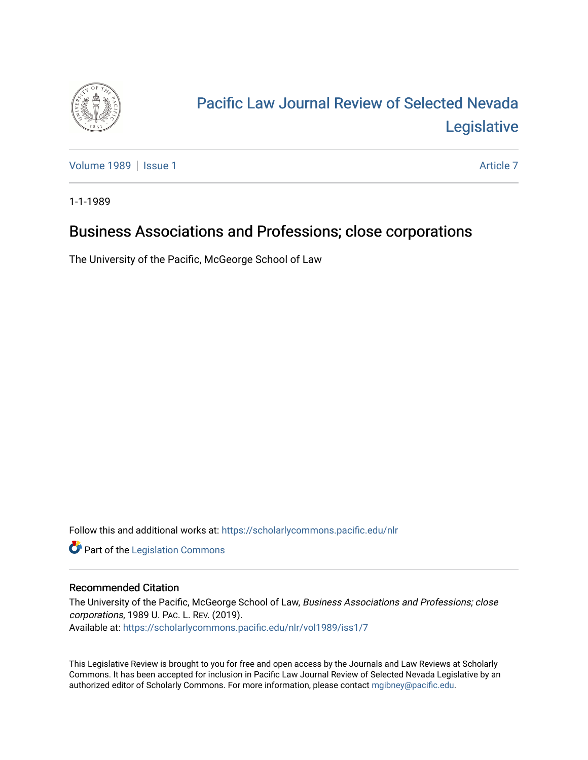

# [Pacific Law Journal Review of Selected Nevada](https://scholarlycommons.pacific.edu/nlr)  [Legislative](https://scholarlycommons.pacific.edu/nlr)

[Volume 1989](https://scholarlycommons.pacific.edu/nlr/vol1989) | [Issue 1](https://scholarlycommons.pacific.edu/nlr/vol1989/iss1) [Article 7](https://scholarlycommons.pacific.edu/nlr/vol1989/iss1/7) Article 7 Article 7 Article 7 Article 7 Article 7

1-1-1989

## Business Associations and Professions; close corporations

The University of the Pacific, McGeorge School of Law

Follow this and additional works at: [https://scholarlycommons.pacific.edu/nlr](https://scholarlycommons.pacific.edu/nlr?utm_source=scholarlycommons.pacific.edu%2Fnlr%2Fvol1989%2Fiss1%2F7&utm_medium=PDF&utm_campaign=PDFCoverPages) 

**Part of the [Legislation Commons](http://network.bepress.com/hgg/discipline/859?utm_source=scholarlycommons.pacific.edu%2Fnlr%2Fvol1989%2Fiss1%2F7&utm_medium=PDF&utm_campaign=PDFCoverPages)** 

#### Recommended Citation

The University of the Pacific, McGeorge School of Law, Business Associations and Professions; close corporations, 1989 U. PAC. L. REV. (2019). Available at: [https://scholarlycommons.pacific.edu/nlr/vol1989/iss1/7](https://scholarlycommons.pacific.edu/nlr/vol1989/iss1/7?utm_source=scholarlycommons.pacific.edu%2Fnlr%2Fvol1989%2Fiss1%2F7&utm_medium=PDF&utm_campaign=PDFCoverPages) 

This Legislative Review is brought to you for free and open access by the Journals and Law Reviews at Scholarly Commons. It has been accepted for inclusion in Pacific Law Journal Review of Selected Nevada Legislative by an authorized editor of Scholarly Commons. For more information, please contact [mgibney@pacific.edu](mailto:mgibney@pacific.edu).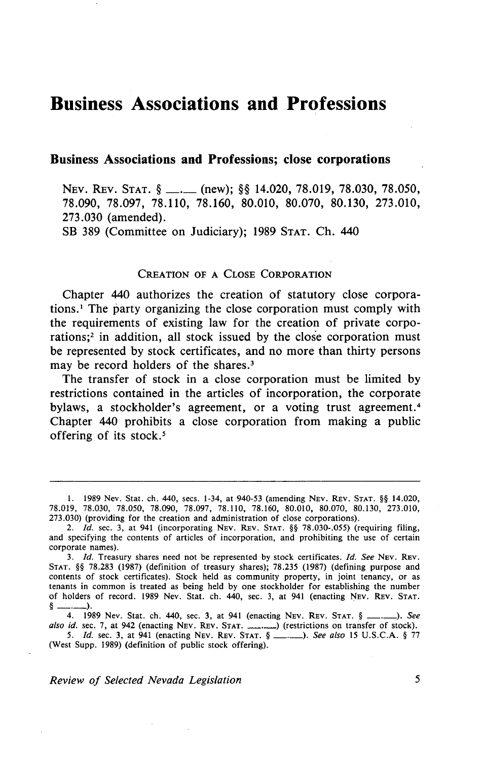### **Business Associations and Professions**

#### **Business Associations and Professions; close corporations**

NEV. REV. STAT. § \_\_. (new); §§ 14.020, 78.019, 78.030, 78.050, 78.090, 78.097, 78.110, 78.160, 80.010, 80.070, 80.130, 273.010, 273.030 (amended).

SB 389 (Committee on Judiciary); 1989 STAT. Ch. 440

#### CREATION OF A CLOSE CORPORATION

Chapter 440 authorizes the creation of statutory close corporations.1 The party organizing the close corporation must comply with the requirements of existing law for the creation of private corporations;2 in addition, all stock issued by the close corporation must be represented by stock certificates, and no more than thirty persons may be record holders of the shares.<sup>3</sup>

The transfer of stock in a close corporation must be limited by restrictions contained in the articles of incorporation, the corporate bylaws, a stockholder's agreement, or a voting trust agreement. <sup>4</sup> Chapter 440 prohibits a close corporation from making a public offering of its stock.<sup>5</sup>

(West Supp. 1989) (definition of public stock offering).

*Review of Selected Nevada Legislation* 5

I. 1989 Nev. Stat. ch. 440, sees. 1-34, at 940-53 (amending NEv. REv. STAT. §§ 14.020, 78.019, 78.030, 78.050, 78.090, 78.097, 78.110, 78.160, 80.010, 80,070, 80.130, 273.010, 273.030) (providing for the creation and administration of close corporations).

<sup>2.</sup> *Id.* sec. 3, at 941 (incorporating NEV. REV. STAT. §§ 78.030-.055) (requiring filing, and specifying the contents of articles of incorporation, and prohibiting the use of certain

corporate names). 3. */d.* Treasury shares need not be represented by stock certificates. */d. See* NEv. REv. STAT. §§ 78.283 (1987) (definition of treasury shares); 78.235 (1987) (defining purpose and contents of stock certificates). Stock held as community property, in joint tenancy, or as tenants in common is treated as being held by one stockholder for establishing the number of holders of record. 1989 Nev. Stat. ch. 440, sec. 3, at 941 (enacting NEv. REv. STAT. §\_.\_), <sup>0</sup> 4. 1989 Nev. Stat. ch. 440, sec. 3, at 941 (enacting NEV. REV. STAT. § <u>\_\_\_</u>. *See See n*. 1989 Nev. Stat. ch. 440, sec. 3, at 941 (enacting NEV. REV. STAT. § \_\_\_.\_\_). See

also id. sec. 7, at 942 (enacting NEV. REV. STAT. \_\_\_\_\_\_\_) (restrictions on transfer of stock). *5. /d.* sec. 3, at 941 (enacting NEv. REv. STAT. § \_,\_), *See also* 15 U.S.C.A. § 77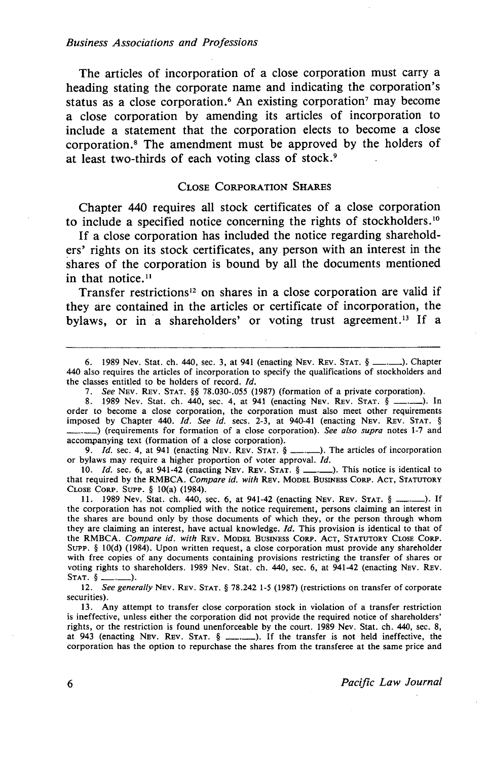The articles of incorporation of a close corporation must carry a heading stating the corporate name and indicating the corporation's status as a close corporation.<sup>6</sup> An existing corporation<sup>7</sup> may become a close corporation by amending its articles of incorporation to include a statement that the corporation elects to become a close corporation. 8 The amendment must be approved by the holders of at least two-thirds of each voting class of stock. <sup>9</sup>

#### CLOSE CoRPORATION SHAREs

Chapter 440 requires all stock certificates of a close corporation to include a specified notice concerning the rights of stockholders. <sup>10</sup>

If a close corporation has included the notice regarding shareholders' rights on its stock certificates, any person with an interest in the shares of the corporation is bound by all the documents mentioned in that notice.<sup>11</sup>

Transfer restrictions<sup>12</sup> on shares in a close corporation are valid if they are contained in the articles or certificate of incorporation, the bylaws, or in a shareholders' or voting trust agreement.<sup>13</sup> If a

8. 1989 Nev. Stat. ch. 440, sec. 4, at 941 (enacting Nev. Rev. Stat. § \_\_\_\_\_). In order to become a close corporation, the corporation must also meet other requirements imposed by Chapter 440. *Id. See id.* secs. 2-3, at 940-41 (enacting Nev. REV. STAT. §<br>------------------) (requirements for formation of a close corporation). *See also supra* notes 1-7 and accompanying text (formation of a close corporation).

9. *Id.* sec. 4, at 941 (enacting NEv. REv. STAT. § \_.\_). The articles of incorporation or bylaws may require a higher proportion of voter approval. Id.

10. *Id.* sec. 6, at 941-42 (enacting Nev. Rev. STAT. § \_\_\_.\_\_). This notice is identical to that required by the RMBCA. *Compare id. with* REv. MODEL BUSINESS CORP. AcT, STATUTORY CLOSE CoRP. SuPP. § IO(a) (1984).

11. 1989 Nev. Stat. ch. 440, sec. 6, at 941-42 (enacting NEv. REv. STAT. § \_.\_). If the corporation has not complied with the notice requirement, persons claiming an interest in the shares are bound only by those documents of which they, or the person through whom they are claiming an interest, have actual knowledge. *Id.* This provision is identical to that of the RMBCA. *Compare id. with* REv. MODEL BuSINESS CoRP. AcT, STATUTORY CLosE CoRP. SuPP. § 10(d) (1984). Upon written request, a close corporation must provide any shareholder with free copies of any documents containing provisions restricting the transfer of shares or voting rights to shareholders. 1989 Nev. Stat. ch. 440, sec. 6, at 941-42 (enacting Nev. Rev. STAT.  $\S$  \_\_\_\_\_\_\_\_).

12. *See generally* NEv. REv. STAT. § 78.242 1-5 (1987) (restrictions on transfer of corporate securities).

13. Any attempt to transfer close corporation stock in violation of a transfer restriction is ineffective, unless either the corporation did not provide the required notice of shareholders' rights, or the restriction is found unenforceable by the court. 1989 Nev. Stat. ch. 440, sec. 8, at 943 (enacting NEV. REV. STAT.  $\S$  \_\_\_\_\_\_). If the transfer is not held ineffective, the corporation has the option to repurchase the shares from the transferee at the same price and

6 *Pacific Law Journal* 

<sup>6. 1989</sup> Nev. Stat. ch. 440, sec. 3, at 941 (enacting Nev. Rev. Stat.  $\S$  \_\_\_\_\_\_\_). Chapter 440 also requires the articles of incorporation to specify the qualifications of stockholders and the classes entitled to be holders of record. *Id.* 

<sup>7.</sup> *See* NEv. REv. STAT. §§ 78.030-.055 (1987) (formation of a private corporation).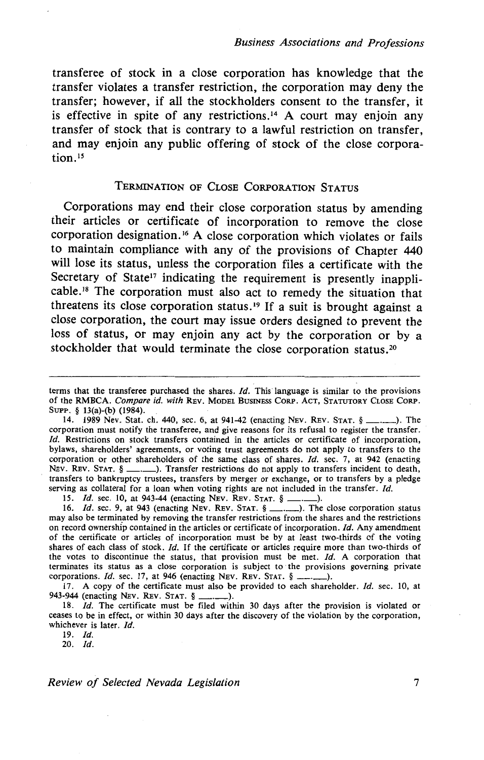transferee of stock in a close corporation has knowledge that the transfer violates a transfer restriction, the corporation may deny the transfer; however, if all the stockholders consent to the transfer, it is effective in spite of any restrictions.<sup>14</sup> A court may enjoin any transfer of stock that is contrary to a lawful restriction on transfer, and may enjoin any public offering of stock of the close corporation.<sup>15</sup>

#### TERMINATION OF CLOSE CORPORATION STATUS

Corporations may end their close corporation status by amending their articles or certificate of incorporation to remove the close corporation designation. 16 A close corporation which violates or fails to maintain compliance with any of the provisions of Chapter 440 will lose its status, unless the corporation files a certificate with the Secretary of State<sup>17</sup> indicating the requirement is presently inapplicable.18 The corporation must also act to remedy the situation that threatens its close corporation status.<sup>19</sup> If a suit is brought against a close corporation, the court may issue orders designed to prevent the loss of status, or may enjoin any act by the corporation or by a stockholder that would terminate the close corporation status.<sup>20</sup>

15. *ld.* sec. 10, at 943-44 (enacting NEv. REv. STAT. § \_.\_).

17. A copy of the certificate must also be provided to each shareholder. Id. sec. 10, at 943-944 (enacting NEv. REv. STAT. § -·->·

18. Jd. The certificate must be filed within 30 days after the provision is violated or ceases to be in effect, or within 30 days after the discovery of the violation by the corporation, whichever is later. *ld.* 

19. *Id*.

20. *ld.* 

*Review of Selected Nevada Legislation* 7

terms that the transferee purchased the shares. *Id.* This language is similar to the provisions of the RMBCA. *Compare id. with* REv. MODEL BUSINESS CoRP. AcT, STATUTORY CLOSE CoRP. SuPP. § 13(a)-(b) (1984).

<sup>14. 1989</sup> Nev. Stat. ch. 440, sec. 6, at 941-42 (enacting NEv. REv. STAT. § \_.\_). The corporation must notify the transferee, and give reasons for its refusal to register the transfer. *Id.* Restrictions on stock transfers contained in the articles or certificate of incorporation, bylaws, shareholders' agreements, or voting trust agreements do not apply to transfers to the corporation or other shareholders of the same class of shares. *Id.* sec. 7, at 942 (enacting NEV. REV. STAT.  $\S$  \_\_\_, \_\_\_). Transfer restrictions do not apply to transfers incident to death, transfers to bankruptcy trustees, transfers by merger or exchange, or to transfers by a pledge serving as collateral for a loan when voting rights are not included in the transfer. Id.

<sup>16.</sup> *Id.* sec. 9, at 943 (enacting NEV. REV. STAT. § \_\_\_\_\_\_). The close corporation status may also be terminated by removing the transfer restrictions from the shares and the restrictions on record ownership contained in the articles or certificate of incorporation. *!d.* Any amendment of the certificate or articles of incorporation must be by at least two-thirds of the voting shares of each class of stock. Jd. If the certificate or articles require more than two-thirds of the votes to discontinue the status, that provision must be met. *Id.* A corporation that terminates its status as a close corporation is subject to ·the provisions governing private corporations. *Id.* sec. 17, at 946 (enacting NEV. REV. STAT. § \_\_\_\_\_\_).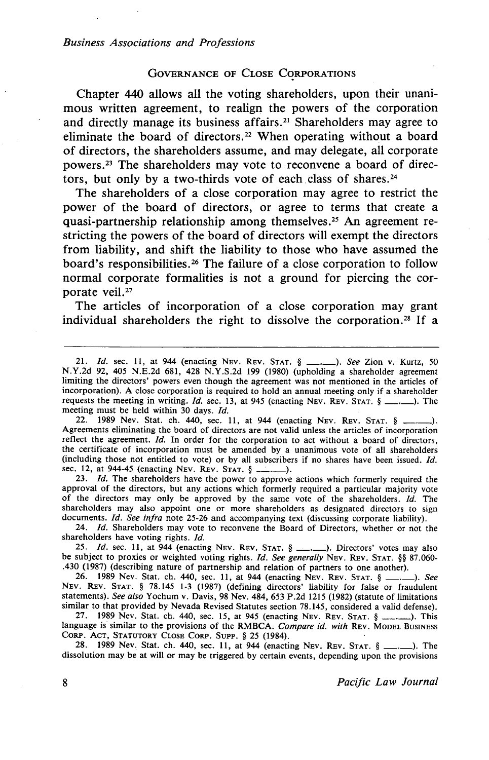#### GOVERNANCE OF CLOSE CORPORATIONS

Chapter 440 allows all the voting shareholders, upon their unanimous written agreement, to realign the powers of the corporation and directly manage its business affairs. 21 Shareholders may agree to eliminate the board of directors.<sup>22</sup> When operating without a board of directors, the shareholders assume, and may delegate, all corporate powers. 23 The shareholders may vote to reconvene a board of directors, but only by a two-thirds vote of each class of shares. <sup>24</sup>

The shareholders of a close corporation may agree to restrict the power of the board of directors, or agree to terms that create a quasi-partnership relationship among themselves.<sup>25</sup> An agreement restricting the powers of the board of directors will exempt the directors from liability, and shift the liability to those who have assumed the board's responsibilities.<sup>26</sup> The failure of a close corporation to follow normal corporate formalities is not a ground for piercing the corporate veil.<sup>27</sup>

The articles of incorporation of a close corporation may grant individual shareholders the right to dissolve the corporation. *28* If a

22. 1989 Nev. Stat. ch. 440, sec. 11, at 944 (enacting Nev. Rev. Stat. § ..... Agreements eliminating the board of directors are not valid unless the articles of incorporation reflect the agreement. *Id.* In order for the corporation to act without a board of directors, the certificate of incorporation must be amended by a unanimous vote of all shareholders (including those not entitled to vote) or by all subscribers if no shares have been issued.  $Id$ . sec. 12, at 944-45 (enacting Nev. Rev. STAT. § \_\_\_.\_\_).

23. *!d.* The shareholders have the power to approve actions which formerly required the approval of the directors, but any actions which formerly required a particular majority vote of the directors may only be approved by the same vote of the shareholders. *!d.* The shareholders may also appoint one or more shareholders as designated directors to sign documents. *!d. See infra* note 25-26 and accompanying text (discussing corporate liability).

24. */d.* Shareholders may vote to reconvene the Board of Directors, whether or not the shareholders have voting rights. */d.* 

25. *Id.* sec. 11, at 944 (enacting NEV. REV. STAT.  $\oint$  ... ). Directors' votes may also be subject to proxies or weighted voting rights. *Id. See generally* NEv. REv. STAT. §§ 87.060- .430 (1987) (describing nature of partnership and relation of partners to one another).

26. 1989 Nev. Stat. ch. 440, sec. 11, at 944 (enacting Nev. Rev. Stat. § ... NEv. REv. STAT. § 78.145 1-3 (1987) (defining directors' liability for false or fraudulent statements). *See also* Yochum v. Davis, 98 Nev. 484, 653 P.2d 1215 (1982) (statute of limitations similar to that provided by Nevada Revised Statutes section 78.145, considered a valid defense).

27. 1989 Nev. Stat. ch. 440, sec. 15, at 945 (enacting Nev. Rev. Stat.  $\S$  \_\_\_\_\_\_). This language is similar to the provisions of the RMBCA. *Compare id. with* REV. MODEL BUSINESS CoRP. AcT, STATUTORY CLOSE CORP. SUPP. § 25 (1984).

28. 1989 Nev, Stat. ch. 440, sec. II, at 944 (enacting NEv. REv. STAT. §\_.\_).The dissolution may be at will or may be triggered by certain events, depending upon the provisions

<sup>21.</sup> */d.* sec. II, at 944 (enacting NEv. REv. STAT. § \_.\_). *See* Zion v. Kurtz, 50 N.Y.2d 92, 405 N.E.2d 681, 428 N.Y.S.2d 199 (1980) (upholding a shareholder agreement limiting the directors' powers even though the agreement was not mentioned in the articles of incorporation). A close corporation is required to hold an annual meeting only if a shareholder requests the meeting in writing. *Id.* sec. 13, at 945 (enacting NEV. REV. STAT.  $\S$  \_\_\_, \_\_). The meeting must be held within 30 days. Id.